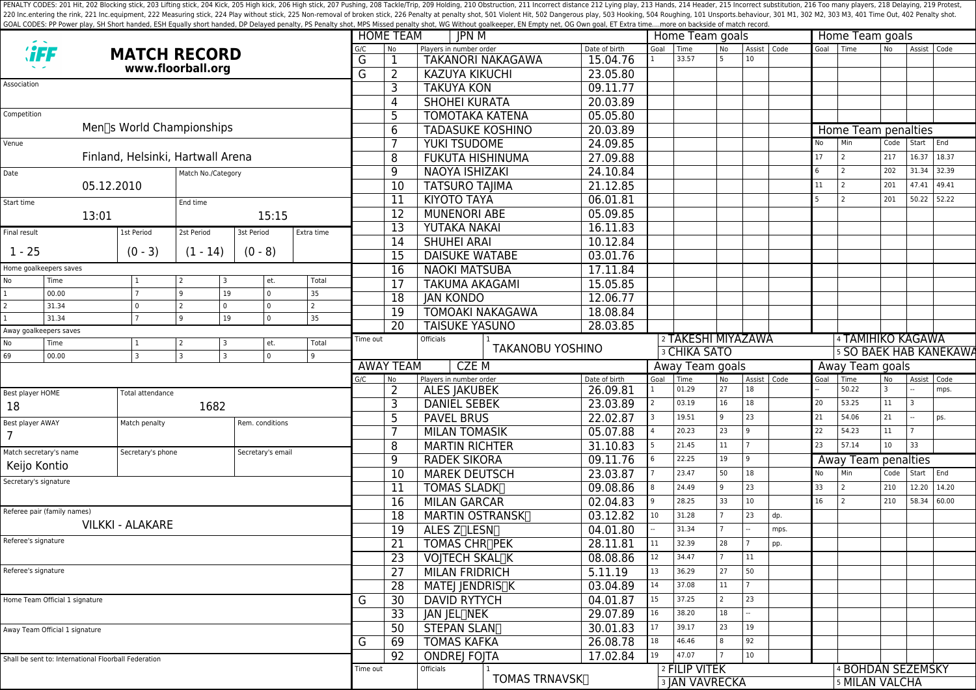PENALTY CODES: 201 Hit, 202 Blocking stick, 203 Lifting stick, 204 Kick, 204 Kick, 205 High kick, 204 Kick, 205 High kick, 206 High stick, 206 High stick, 206 High stick, 206 High stick, 207 Pushing, 208 Tackle/Trip, 209 H 220 Inc.entering the rink, 221 Inc.equipment, 222 Measuring stick, 224 Play without stick, 225 Non-removal of broken stick, 225 Penalty at penalty shot, 501 Violent Hit, 502 Dangerous play, 503 Hooking, 504 Roughing, 101 U GOAL CODES: PP Power play, SH Short handed, ESH Equally short handed, DP Delayed penalty, PS Penalty shot, MPS Missed penalty shot, WG Without goalkeeper, EN Empty net, OG Own goal, ET Extra time....more on backside of mat

|                                                                            |                                                      |                                   |                                               |                          |                       |                      | <b>JPN M</b><br><b>HOME TEAM</b> |                                        |                      |                     |                    | Home Team goals                        |                | Home Team goals |             |                               |                                                |                 |                 |       |  |  |  |
|----------------------------------------------------------------------------|------------------------------------------------------|-----------------------------------|-----------------------------------------------|--------------------------|-----------------------|----------------------|----------------------------------|----------------------------------------|----------------------|---------------------|--------------------|----------------------------------------|----------------|-----------------|-------------|-------------------------------|------------------------------------------------|-----------------|-----------------|-------|--|--|--|
| <b><i>'iFF</i></b><br><b>MATCH RECORD</b>                                  |                                                      |                                   |                                               |                          | G/C                   | No                   | Players in number order          |                                        | Date of birth        | Goal                | Time               | <b>No</b>                              | Assist Code    |                 | Goal   Time |                               | N <sub>o</sub>                                 | Assist Code     |                 |       |  |  |  |
| www.floorball.org<br>Association                                           |                                                      |                                   |                                               |                          |                       | G                    |                                  | <b>TAKANORI NAKAGAWA</b>               |                      | 15.04.76            |                    | 33.57                                  | 5              | 10              |             |                               |                                                |                 |                 |       |  |  |  |
|                                                                            |                                                      |                                   |                                               |                          |                       | G                    | $\overline{2}$                   | <b>KAZUYA KIKUCHI</b>                  |                      | 23.05.80            |                    |                                        |                |                 |             |                               |                                                |                 |                 |       |  |  |  |
|                                                                            |                                                      |                                   |                                               |                          |                       |                      | 3                                | <b>TAKUYA KON</b>                      |                      | 09.11.77            |                    |                                        |                |                 |             |                               |                                                |                 |                 |       |  |  |  |
|                                                                            |                                                      |                                   |                                               |                          |                       |                      | 4                                | <b>SHOHEI KURATA</b>                   |                      | 20.03.89            |                    |                                        |                |                 |             |                               |                                                |                 |                 |       |  |  |  |
| Competition                                                                |                                                      |                                   |                                               |                          |                       |                      | 5                                | <b>TOMOTAKA KATENA</b>                 |                      | 05.05.80            |                    |                                        |                |                 |             |                               |                                                |                 |                 |       |  |  |  |
| Men∏s World Championships                                                  |                                                      |                                   |                                               |                          |                       |                      | 6                                | <b>TADASUKE KOSHINO</b>                |                      | 20.03.89            |                    |                                        |                |                 |             |                               | Home Team penalties                            |                 |                 |       |  |  |  |
| Venue                                                                      |                                                      |                                   |                                               |                          |                       |                      |                                  | YUKI TSUDOME                           |                      | 24.09.85            |                    |                                        |                |                 |             | <b>No</b>                     | Min                                            | Code            | Start           | End   |  |  |  |
|                                                                            |                                                      | Finland, Helsinki, Hartwall Arena |                                               |                          |                       |                      | 8                                | <b>FUKUTA HISHINUMA</b>                |                      | 27.09.88            |                    |                                        |                |                 |             | 17                            | $\vert$ 2                                      | 217             | 16.37           | 18.37 |  |  |  |
| Date                                                                       |                                                      |                                   | Match No./Category                            |                          |                       |                      | 9                                | <b>NAOYA ISHIZAKI</b>                  |                      | 24.10.84            |                    |                                        |                |                 |             | 6                             | $\overline{2}$                                 | 202             | 31.34           | 32.39 |  |  |  |
|                                                                            |                                                      | 05.12.2010                        |                                               |                          |                       |                      | 10                               | <b>TATSURO TAJIMA</b>                  |                      | 21.12.85            |                    |                                        |                |                 |             | 11                            | 2                                              | 201             | 47.41           | 49.41 |  |  |  |
| Start time                                                                 |                                                      |                                   | End time                                      |                          |                       |                      | 11                               | <b>KIYOTO TAYA</b>                     |                      | 06.01.81            |                    |                                        |                |                 |             | 5                             | $\overline{z}$                                 | 201             | 50.22           | 52.22 |  |  |  |
|                                                                            | 13:01                                                |                                   |                                               | 15:15                    |                       |                      | $\overline{12}$                  | <b>MUNENORI ABE</b>                    |                      | 05.09.85            |                    |                                        |                |                 |             |                               |                                                |                 |                 |       |  |  |  |
| Final result                                                               |                                                      | 1st Period                        | 2st Period                                    | 3st Period<br>Extra time |                       |                      | $\overline{13}$                  | <b>YUTAKA NAKAI</b>                    |                      | 16.11.83            |                    |                                        |                |                 |             |                               |                                                |                 |                 |       |  |  |  |
|                                                                            |                                                      |                                   |                                               |                          |                       |                      | 14                               | <b>SHUHEI ARAI</b>                     |                      | 10.12.84            |                    |                                        |                |                 |             |                               |                                                |                 |                 |       |  |  |  |
| $1 - 25$                                                                   |                                                      | $(0 - 3)$                         | $(1 - 14)$                                    | $(0 - 8)$                |                       |                      | 15                               | <b>DAISUKE WATABE</b>                  |                      | 03.01.76            |                    |                                        |                |                 |             |                               |                                                |                 |                 |       |  |  |  |
| Home goalkeepers saves                                                     |                                                      |                                   |                                               |                          | 16                    | <b>NAOKI MATSUBA</b> |                                  | 17.11.84                               |                      |                     |                    |                                        |                |                 |             |                               |                                                |                 |                 |       |  |  |  |
| No                                                                         | Time                                                 | 1                                 | 3                                             | et.                      | Total                 |                      | 17                               | <b>TAKUMA AKAGAMI</b>                  |                      | 15.05.85            |                    |                                        |                |                 |             |                               |                                                |                 |                 |       |  |  |  |
|                                                                            | 00.00                                                | $\overline{7}$                    | 19<br>9                                       | $\mathbf 0$              | 35                    |                      | 18                               | <b>JAN KONDO</b>                       |                      | 12.06.77            |                    |                                        |                |                 |             |                               |                                                |                 |                 |       |  |  |  |
| $\overline{2}$                                                             | 31.34<br>31.34                                       | 0                                 | $\mathbf 0$<br>$\overline{2}$<br>$\mathsf{Q}$ | $\mathbf 0$<br>$\Omega$  | $\overline{2}$<br>35  |                      | 19                               | <b>TOMOAKI NAKAGAWA</b>                |                      | 18.08.84            |                    |                                        |                |                 |             |                               |                                                |                 |                 |       |  |  |  |
|                                                                            | 19<br>Away goalkeepers saves                         |                                   |                                               | 20                       | <b>TAISUKE YASUNO</b> |                      | 28.03.85                         |                                        |                      |                     |                    |                                        |                |                 |             |                               |                                                |                 |                 |       |  |  |  |
| No                                                                         | Time                                                 | 1                                 | 3                                             | et.                      | Total                 | Time out             |                                  | Officials                              |                      |                     | 2 TAKESHI MIYAZAWA |                                        |                |                 |             |                               | 4 TAMIHIKO KAGAWA                              |                 |                 |       |  |  |  |
| $\mathbf 0$<br>l 3<br>69<br>00.00<br>$\overline{3}$<br>$\overline{3}$<br>9 |                                                      |                                   |                                               |                          |                       |                      | <b>TAKANOBU YOSHINO</b>          |                                        |                      | <b>3 CHIKA SATO</b> |                    |                                        |                |                 |             | <b>5 SO BAEK HAB KANEKAWA</b> |                                                |                 |                 |       |  |  |  |
|                                                                            |                                                      |                                   |                                               |                          |                       |                      |                                  |                                        |                      |                     | Away Team goals    |                                        |                |                 |             |                               |                                                |                 | Away Team goals |       |  |  |  |
|                                                                            |                                                      |                                   |                                               |                          |                       |                      | <b>AWAY TEAM</b>                 | <b>CZEM</b>                            |                      |                     |                    |                                        |                |                 |             |                               |                                                |                 |                 |       |  |  |  |
|                                                                            |                                                      |                                   |                                               |                          |                       | G/C                  | No                               | Players in number order                |                      | Date of birth       | Goal               | Time                                   | <b>No</b>      | Assist Code     |             | Goal                          | Time                                           | No              | Assist          | Code  |  |  |  |
| Best player HOME                                                           |                                                      | Total attendance                  |                                               |                          |                       |                      | $\overline{2}$                   | <b>ALES JAKUBEK</b>                    |                      | 26.09.81            |                    | 01.29                                  | 27             | 18              |             |                               | 50.22                                          |                 |                 | mps.  |  |  |  |
| 18                                                                         |                                                      |                                   | 1682                                          |                          |                       |                      | 3                                | <b>DANIEL SEBEK</b>                    |                      | 23.03.89            |                    | 03.19                                  | 16             | 18              |             | 20                            | 53.25                                          | 11              |                 |       |  |  |  |
| Best player AWAY                                                           |                                                      | Match penalty                     |                                               | Rem. conditions          |                       |                      | 5                                | <b>PAVEL BRUS</b>                      |                      | 22.02.87            |                    | 19.51                                  | <u>g</u>       | 23              |             | 21                            | 54.06                                          | 21              |                 | ps.   |  |  |  |
| $\overline{7}$                                                             |                                                      |                                   |                                               |                          |                       |                      |                                  | <b>MILAN TOMASIK</b>                   |                      | 05.07.88            |                    | 20.23                                  | 23             | $\overline{9}$  |             | 22                            | 54.23                                          | 11              |                 |       |  |  |  |
|                                                                            | Match secretary's name                               | Secretary's phone                 |                                               | Secretary's email        |                       |                      | 8                                | <b>MARTIN RICHTER</b>                  |                      | 31.10.83            |                    | 21.45                                  | $11\,$         |                 |             | 23                            | 57.14                                          | 10 <sup>°</sup> | 33              |       |  |  |  |
|                                                                            | Keijo Kontio                                         |                                   |                                               |                          |                       |                      | 9                                | <b>RADEK SIKORA</b>                    |                      | 09.11.76            |                    | 22.25                                  | 19             | $\overline{9}$  |             |                               | Away Team penalties                            |                 |                 |       |  |  |  |
|                                                                            | Secretary's signature                                |                                   |                                               |                          |                       |                      | 10                               | <b>MAREK DEUTSCH</b>                   |                      | 23.03.87            |                    | 23.47                                  | 50             | 18              |             | No                            | Min                                            | Code            | Start           | End   |  |  |  |
|                                                                            |                                                      |                                   |                                               |                          |                       |                      | 11                               | <b>TOMAS SLADK</b>                     |                      | 09.08.86            |                    | 24.49                                  | <u>g</u>       | 23              |             | 33                            | $\sqrt{2}$                                     | 210             | 12.20           | 14.20 |  |  |  |
|                                                                            |                                                      |                                   |                                               |                          |                       |                      | $\overline{16}$                  | <b>MILAN GARCAR</b>                    |                      | 02.04.83            |                    | 28.25                                  | 33             | 10              |             | 16                            | 2                                              | 210             | 58.34           | 60.00 |  |  |  |
|                                                                            | Referee pair (family names)                          |                                   |                                               |                          |                       |                      | 18                               | MARTIN OSTRANSK                        |                      | 03.12.82            | 10                 | 31.28                                  |                | 23              | dp.         |                               |                                                |                 |                 |       |  |  |  |
|                                                                            |                                                      | <b>VILKKI - ALAKARE</b>           |                                               |                          |                       |                      | 19                               | ALES Z <sub>[I</sub> LESN <sub>]</sub> |                      | 04.01.80            |                    | 31.34                                  |                |                 | mps.        |                               |                                                |                 |                 |       |  |  |  |
| Referee's signature                                                        |                                                      |                                   |                                               |                          |                       |                      | $\overline{21}$                  | <b>TOMAS CHR∏PEK</b>                   |                      | 28.11.81            | 11                 | 32.39                                  | 28             | <sup>7</sup>    | pp.         |                               |                                                |                 |                 |       |  |  |  |
|                                                                            |                                                      |                                   |                                               |                          |                       |                      | $\overline{23}$                  | <b>VOJTECH SKALTK</b>                  |                      | 08.08.86            | 12                 | 34.47                                  | $\overline{7}$ | 11              |             |                               |                                                |                 |                 |       |  |  |  |
|                                                                            | Referee's signature                                  |                                   |                                               |                          |                       |                      | 27                               | <b>MILAN FRIDRICH</b>                  |                      | 5.11.19             | 13                 | 36.29                                  | 27             | 50              |             |                               |                                                |                 |                 |       |  |  |  |
|                                                                            |                                                      |                                   |                                               |                          |                       |                      | 28                               | MATEJ JENDRIS∏K                        |                      | 03.04.89            | 14                 | 37.08                                  | 11             |                 |             |                               |                                                |                 |                 |       |  |  |  |
|                                                                            | Home Team Official 1 signature                       |                                   |                                               |                          |                       | G                    | 30                               | <b>DAVID RYTYCH</b>                    |                      | 04.01.87            | 15                 | 37.25                                  | 2              | 23              |             |                               |                                                |                 |                 |       |  |  |  |
|                                                                            |                                                      |                                   |                                               |                          |                       |                      | $\overline{33}$                  | <b>JAN JEL</b> ∏NEK                    |                      | 29.07.89            | 16                 | 38.20                                  | 18             |                 |             |                               |                                                |                 |                 |       |  |  |  |
|                                                                            | Away Team Official 1 signature                       |                                   |                                               |                          |                       |                      | 50                               | <b>STEPAN SLANT</b>                    |                      | 30.01.83            | 17                 | 39.17                                  | 23             | 19              |             |                               |                                                |                 |                 |       |  |  |  |
|                                                                            |                                                      |                                   |                                               |                          |                       | G                    | 69                               | <b>TOMAS KAFKA</b>                     |                      | 26.08.78            | 18                 | 46.46                                  | 8              | 92              |             |                               |                                                |                 |                 |       |  |  |  |
|                                                                            | Shall be sent to: International Floorball Federation |                                   |                                               |                          |                       |                      | 92                               | <b>ONDREJ FOJTA</b>                    |                      | 17.02.84            | 19                 | 47.07                                  |                | 10              |             |                               |                                                |                 |                 |       |  |  |  |
|                                                                            |                                                      |                                   |                                               |                          |                       | Time out             |                                  | Officials                              | <b>TOMAS TRNAVSK</b> |                     |                    | 2 FILIP VITEK<br><b>3 JAN VAVRECKA</b> |                |                 |             |                               | <sup>4</sup> BOHDAN SEZEMSKY<br>5 MILAN VALCHA |                 |                 |       |  |  |  |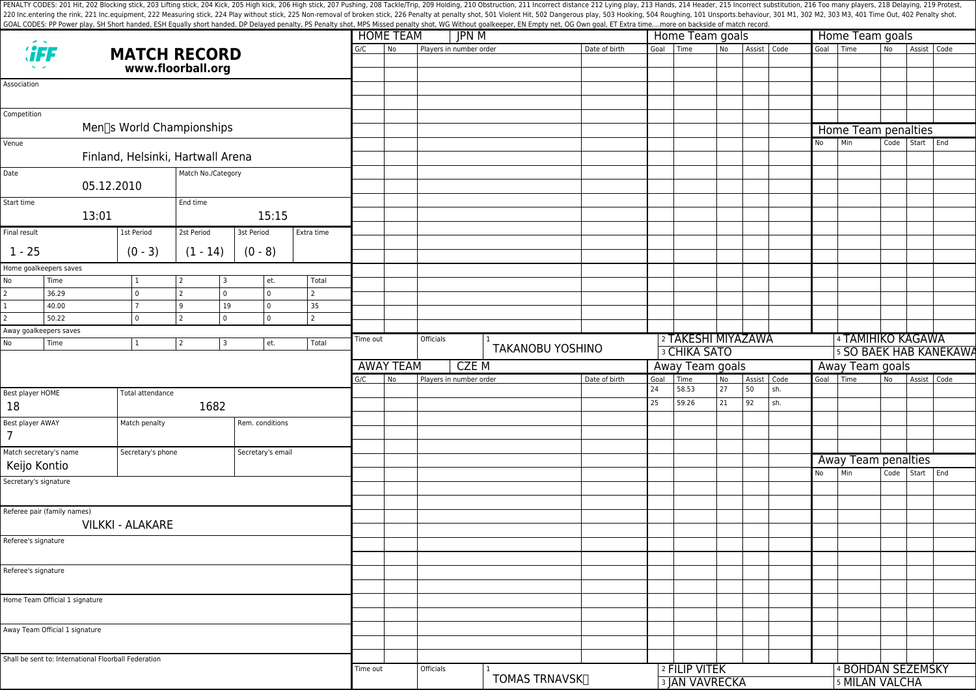PENALTY CODES: 201 Hit, 202 Blocking stick, 203 Lifting stick, 204 Kick, 204 Kick, 205 High kick, 204 Kick, 205 High kick, 206 High stick, 206 High stick, 206 High stick, 206 High stick, 207 Pushing, 208 Tackle/Trip, 209 H 220 Inc.entering the rink, 221 Inc.equipment, 222 Measuring stick, 224 Play without stick, 225 Non-removal of broken stick, 225 Penalty at penalty shot, 501 Violent Hit, 502 Dangerous play, 503 Hooking, 504 Roughing, 101 U GOAL CODES: PP Power play, SH Short handed, ESH Equally short handed, DP Delayed penalty, PS Penalty shot, MPS Missed penalty shot, WG Without goalkeeper, EN Empty net, OG Own goal, ET Extra time....more on backside of mat

|                                                      |                                        |                     |            |                    | <b>HOME TEAM</b><br>JPN M |                           |               |                         |                            | Home Team goals |                           |                     |          | Home Team goals   |                               |                 |                            |           |             |  |  |  |  |
|------------------------------------------------------|----------------------------------------|---------------------|------------|--------------------|---------------------------|---------------------------|---------------|-------------------------|----------------------------|-----------------|---------------------------|---------------------|----------|-------------------|-------------------------------|-----------------|----------------------------|-----------|-------------|--|--|--|--|
| <b><i>SFF</i></b><br><b>MATCH RECORD</b>             |                                        |                     | G/C        | No                 | Players in number order   |                           | Date of birth | Goal                    | Time                       | N <sub>o</sub>  | Assist Code               |                     |          | Goal Time         | No                            | Assist Code     |                            |           |             |  |  |  |  |
| www.floorball.org                                    |                                        |                     |            |                    |                           |                           |               |                         |                            |                 |                           |                     |          |                   |                               |                 |                            |           |             |  |  |  |  |
| Association                                          |                                        |                     |            |                    |                           |                           |               |                         |                            |                 |                           |                     |          |                   |                               |                 |                            |           |             |  |  |  |  |
|                                                      |                                        |                     |            |                    |                           |                           |               |                         |                            |                 |                           |                     |          |                   |                               |                 |                            |           |             |  |  |  |  |
|                                                      |                                        |                     |            |                    |                           |                           |               |                         |                            |                 |                           |                     |          |                   |                               |                 |                            |           |             |  |  |  |  |
| Competition                                          |                                        |                     |            |                    |                           |                           |               |                         |                            |                 |                           |                     |          |                   |                               |                 |                            |           |             |  |  |  |  |
|                                                      | Men <sup>[</sup> s World Championships |                     |            |                    |                           |                           |               |                         |                            |                 |                           |                     |          |                   |                               |                 | Home Team penalties        |           |             |  |  |  |  |
| Venue                                                |                                        |                     |            |                    |                           |                           |               |                         |                            |                 |                           |                     |          |                   |                               | No              | Min                        | Code      | Start End   |  |  |  |  |
|                                                      | Finland, Helsinki, Hartwall Arena      |                     |            |                    |                           |                           |               |                         |                            |                 |                           |                     |          |                   |                               |                 |                            |           |             |  |  |  |  |
| Date                                                 |                                        | Match No./Category  |            |                    |                           |                           |               |                         |                            |                 |                           |                     |          |                   |                               |                 |                            |           |             |  |  |  |  |
|                                                      | 05.12.2010                             |                     |            |                    |                           |                           |               |                         |                            |                 |                           |                     |          |                   |                               |                 |                            |           |             |  |  |  |  |
| Start time                                           |                                        | End time            |            |                    |                           |                           |               |                         |                            |                 |                           |                     |          |                   |                               |                 |                            |           |             |  |  |  |  |
| 13:01                                                |                                        |                     |            | 15:15              |                           |                           |               |                         |                            |                 |                           |                     |          |                   |                               |                 |                            |           |             |  |  |  |  |
| Final result                                         | 1st Period                             | 2st Period          | 3st Period |                    | Extra time                |                           |               |                         |                            |                 |                           |                     |          |                   |                               |                 |                            |           |             |  |  |  |  |
|                                                      |                                        |                     |            |                    |                           |                           |               |                         |                            |                 |                           |                     |          |                   |                               |                 |                            |           |             |  |  |  |  |
| $1 - 25$                                             | $(0 - 3)$                              | $(1 - 14)$          |            | $(0 - 8)$          |                           |                           |               |                         |                            |                 |                           |                     |          |                   |                               |                 |                            |           |             |  |  |  |  |
| Home goalkeepers saves                               |                                        |                     |            |                    |                           |                           |               |                         |                            |                 |                           |                     |          |                   |                               |                 |                            |           |             |  |  |  |  |
| No<br>Time<br>$\overline{c}$                         | $\mathbf 0$                            | 2<br>$\overline{2}$ | 3<br>0     | et.<br>$\mathbf 0$ | Total<br>$\overline{2}$   |                           |               |                         |                            |                 |                           |                     |          |                   |                               |                 |                            |           |             |  |  |  |  |
| 36.29<br>40.00                                       | $\overline{7}$                         | 9                   | 19         | $\mathbf 0$        | 35                        |                           |               |                         |                            |                 |                           |                     |          |                   |                               |                 |                            |           |             |  |  |  |  |
| 50.22                                                | $\mathbf{0}$                           |                     | 0          | $\mathbf 0$        | $\overline{2}$            |                           |               |                         |                            |                 |                           |                     |          |                   |                               |                 |                            |           |             |  |  |  |  |
| Away goalkeepers saves                               |                                        |                     |            |                    |                           |                           |               |                         |                            |                 |                           |                     |          |                   |                               |                 |                            |           |             |  |  |  |  |
| No<br>Time                                           | $\mathbf{1}$                           | $\sqrt{2}$          | 3          | et.                | Total                     | Time out                  |               | Officials               |                            |                 |                           | 2 TAKESHI MIYAZAWA  |          |                   |                               |                 | <b>4 TAMIHIKO KAGAWA</b>   |           |             |  |  |  |  |
|                                                      |                                        |                     |            |                    |                           |                           |               |                         | <b>TAKANOBU YOSHINO</b>    |                 |                           | <b>3 CHIKA SATO</b> |          |                   | <b>5 SO BAEK HAB KANEKAWA</b> |                 |                            |           |             |  |  |  |  |
|                                                      |                                        |                     |            |                    |                           | <b>AWAY TEAM</b><br>CZE M |               |                         |                            |                 | Away Team goals           |                     |          |                   |                               | Away Team goals |                            |           |             |  |  |  |  |
|                                                      |                                        |                     |            |                    |                           | G/C                       | No            | Players in number order |                            | Date of birth   | Goal<br>24                | Time<br>58.53       | No<br>27 | Assist Code<br>50 | sh.                           |                 | Goal Time                  | <b>No</b> | Assist Code |  |  |  |  |
| Best player HOME                                     | Total attendance                       |                     |            |                    |                           |                           |               |                         |                            |                 | 25                        | 59.26               | 21       | 92                | sh.                           |                 |                            |           |             |  |  |  |  |
| 18                                                   |                                        | 1682                |            |                    |                           |                           |               |                         |                            |                 |                           |                     |          |                   |                               |                 |                            |           |             |  |  |  |  |
| Best player AWAY                                     | Match penalty                          |                     |            | Rem. conditions    |                           |                           |               |                         |                            |                 |                           |                     |          |                   |                               |                 |                            |           |             |  |  |  |  |
| $\overline{7}$                                       |                                        |                     |            |                    |                           |                           |               |                         |                            |                 |                           |                     |          |                   |                               |                 |                            |           |             |  |  |  |  |
| Match secretary's name                               | Secretary's phone                      |                     |            | Secretary's email  |                           |                           |               |                         |                            |                 |                           |                     |          |                   |                               |                 |                            |           |             |  |  |  |  |
| Keijo Kontio                                         |                                        |                     |            |                    |                           |                           |               |                         |                            |                 |                           |                     |          |                   |                               |                 | Away Team penalties<br>Min |           | Start End   |  |  |  |  |
| Secretary's signature                                |                                        |                     |            |                    |                           |                           |               |                         |                            |                 |                           |                     |          |                   |                               | No              |                            | Code      |             |  |  |  |  |
|                                                      |                                        |                     |            |                    |                           |                           |               |                         |                            |                 |                           |                     |          |                   |                               |                 |                            |           |             |  |  |  |  |
| Referee pair (family names)                          |                                        |                     |            |                    |                           |                           |               |                         |                            |                 |                           |                     |          |                   |                               |                 |                            |           |             |  |  |  |  |
|                                                      | <b>VILKKI - ALAKARE</b>                |                     |            |                    |                           |                           |               |                         |                            |                 |                           |                     |          |                   |                               |                 |                            |           |             |  |  |  |  |
| Referee's signature                                  |                                        |                     |            |                    |                           |                           |               |                         |                            |                 |                           |                     |          |                   |                               |                 |                            |           |             |  |  |  |  |
|                                                      |                                        |                     |            |                    |                           |                           |               |                         |                            |                 |                           |                     |          |                   |                               |                 |                            |           |             |  |  |  |  |
| Referee's signature                                  |                                        |                     |            |                    |                           |                           |               |                         |                            |                 |                           |                     |          |                   |                               |                 |                            |           |             |  |  |  |  |
|                                                      |                                        |                     |            |                    |                           |                           |               |                         |                            |                 |                           |                     |          |                   |                               |                 |                            |           |             |  |  |  |  |
|                                                      |                                        |                     |            |                    |                           |                           |               |                         |                            |                 |                           |                     |          |                   |                               |                 |                            |           |             |  |  |  |  |
| Home Team Official 1 signature                       |                                        |                     |            |                    |                           |                           |               |                         |                            |                 |                           |                     |          |                   |                               |                 |                            |           |             |  |  |  |  |
|                                                      |                                        |                     |            |                    |                           |                           |               |                         |                            |                 |                           |                     |          |                   |                               |                 |                            |           |             |  |  |  |  |
| Away Team Official 1 signature                       |                                        |                     |            |                    |                           |                           |               |                         |                            |                 |                           |                     |          |                   |                               |                 |                            |           |             |  |  |  |  |
|                                                      |                                        |                     |            |                    |                           |                           |               |                         |                            |                 |                           |                     |          |                   |                               |                 |                            |           |             |  |  |  |  |
| Shall be sent to: International Floorball Federation |                                        |                     |            |                    |                           |                           |               |                         |                            |                 |                           |                     |          |                   |                               |                 |                            |           |             |  |  |  |  |
|                                                      |                                        |                     |            |                    |                           | Time out                  |               | Officials               | TOMAS TRNAVSK <sub>I</sub> |                 |                           | 2 FILIP VITEK       |          |                   |                               |                 | 4 BOHDAN SEZEMSKY          |           |             |  |  |  |  |
|                                                      |                                        |                     |            |                    |                           |                           |               |                         |                            |                 | <sup>3</sup> JAN VAVRECKA |                     |          |                   |                               | 5 MILAN VALCHA  |                            |           |             |  |  |  |  |